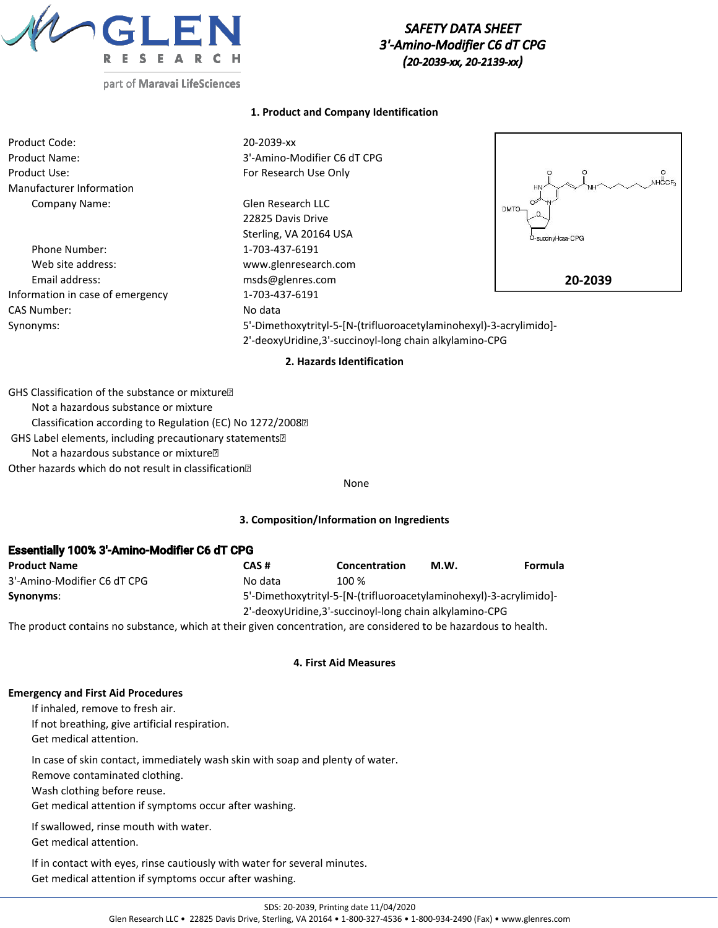

# *SAFETY DATA SHEET 3'-Amino-Modifier C6 dT CPG (20-2039-xx, 20-2139-xx)*

## **1. Product and Company Identification**

| Product Code:<br>Product Name:<br>Product Use: | 20-2039-xx<br>3'-Amino-Modifier C6 dT CPG<br>For Research Use Only |             |
|------------------------------------------------|--------------------------------------------------------------------|-------------|
| Manufacturer Information                       |                                                                    | HN-         |
| Company Name:                                  | Glen Research LLC                                                  | ☞<br>DMTO-  |
|                                                | 22825 Davis Drive                                                  |             |
|                                                | Sterling, VA 20164 USA                                             | O-succinyl- |
| Phone Number:                                  | 1-703-437-6191                                                     |             |
| Web site address:                              | www.glenresearch.com                                               |             |

Email address: msds@glenres.com Information in case of emergency 1-703-437-6191 CAS Number: No data



Synonyms: 5'-Dimethoxytrityl-5-[N-(trifluoroacetylaminohexyl)-3-acrylimido]- 2'-deoxyUridine,3'-succinoyl-long chain alkylamino-CPG

### **2. Hazards Identification**

GHS Classification of the substance or mixture Not a hazardous substance or mixture Classification according to Regulation (EC) No 1272/2008 GHS Label elements, including precautionary statements Not a hazardous substance or mixture Other hazards which do not result in classification

### None

### **3. Composition/Information on Ingredients**

# Essentially 100% 3'-Amino-Modifier C6 dT CPG **Product Name CAS # Concentration M.W. Formula** 3'-Amino-Modifier C6 dT CPG No data 100 %

**Synonyms**: 5'-Dimethoxytrityl-5-[N-(trifluoroacetylaminohexyl)-3-acrylimido]-

2'-deoxyUridine,3'-succinoyl-long chain alkylamino-CPG

The product contains no substance, which at their given concentration, are considered to be hazardous to health.

### **4. First Aid Measures**

### **Emergency and First Aid Procedures**

If inhaled, remove to fresh air. If not breathing, give artificial respiration. Get medical attention.

In case of skin contact, immediately wash skin with soap and plenty of water.

Remove contaminated clothing.

Wash clothing before reuse.

Get medical attention if symptoms occur after washing.

Remove contact lenses if present and continue rinsing.

If swallowed, rinse mouth with water.

Get medical attention.

If in contact with eyes, rinse cautiously with water for several minutes. Get medical attention if symptoms occur after washing.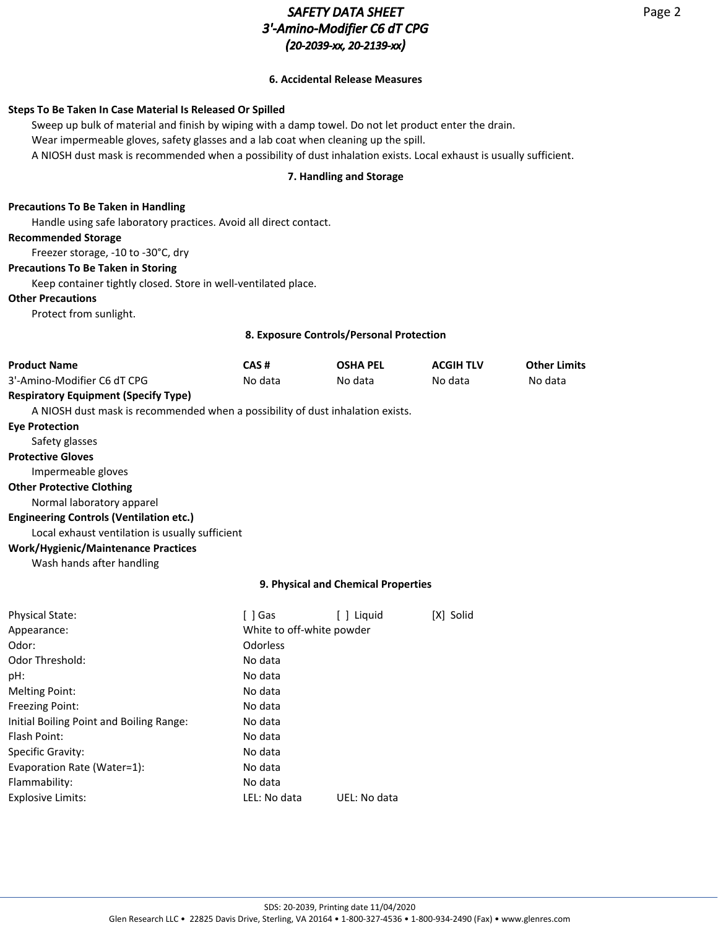# *SAFETY DATA SHEET 3'-Amino-Modifier C6 dT CPG (20-2039-xx, 20-2139-xx)*

# **6. Accidental Release Measures**

# **Steps To Be Taken In Case Material Is Released Or Spilled**

Sweep up bulk of material and finish by wiping with a damp towel. Do not let product enter the drain. Wear impermeable gloves, safety glasses and a lab coat when cleaning up the spill. A NIOSH dust mask is recommended when a possibility of dust inhalation exists. Local exhaust is usually sufficient.

# **7. Handling and Storage**

# **Precautions To Be Taken in Handling**

Handle using safe laboratory practices. Avoid all direct contact.

## **Recommended Storage**

Freezer storage, -10 to -30°C, dry

### **Precautions To Be Taken in Storing**

Keep container tightly closed. Store in well-ventilated place.

Flammability: No data

Explosive Limits: LEL: No data UEL: No data

## **Other Precautions**

Protect from sunlight.

## **8. Exposure Controls/Personal Protection**

| <b>Product Name</b>                                                            | CAS#                                | <b>OSHA PEL</b> | <b>ACGIH TLV</b> | <b>Other Limits</b> |  |
|--------------------------------------------------------------------------------|-------------------------------------|-----------------|------------------|---------------------|--|
| 3'-Amino-Modifier C6 dT CPG                                                    | No data                             | No data         | No data          | No data             |  |
| <b>Respiratory Equipment (Specify Type)</b>                                    |                                     |                 |                  |                     |  |
| A NIOSH dust mask is recommended when a possibility of dust inhalation exists. |                                     |                 |                  |                     |  |
| <b>Eve Protection</b>                                                          |                                     |                 |                  |                     |  |
| Safety glasses                                                                 |                                     |                 |                  |                     |  |
| <b>Protective Gloves</b>                                                       |                                     |                 |                  |                     |  |
| Impermeable gloves                                                             |                                     |                 |                  |                     |  |
| <b>Other Protective Clothing</b>                                               |                                     |                 |                  |                     |  |
| Normal laboratory apparel                                                      |                                     |                 |                  |                     |  |
| <b>Engineering Controls (Ventilation etc.)</b>                                 |                                     |                 |                  |                     |  |
| Local exhaust ventilation is usually sufficient                                |                                     |                 |                  |                     |  |
| <b>Work/Hygienic/Maintenance Practices</b>                                     |                                     |                 |                  |                     |  |
| Wash hands after handling                                                      |                                     |                 |                  |                     |  |
|                                                                                |                                     |                 |                  |                     |  |
|                                                                                | 9. Physical and Chemical Properties |                 |                  |                     |  |
| <b>Physical State:</b>                                                         | [ ] Gas                             | [ ] Liquid      | [X] Solid        |                     |  |
| Appearance:                                                                    | White to off-white powder           |                 |                  |                     |  |
| Odor:                                                                          | Odorless                            |                 |                  |                     |  |
| <b>Odor Threshold:</b>                                                         | No data                             |                 |                  |                     |  |
| pH:                                                                            | No data                             |                 |                  |                     |  |
| <b>Melting Point:</b>                                                          | No data                             |                 |                  |                     |  |
| <b>Freezing Point:</b>                                                         | No data                             |                 |                  |                     |  |
| Initial Boiling Point and Boiling Range:                                       | No data                             |                 |                  |                     |  |
| Flash Point:                                                                   | No data                             |                 |                  |                     |  |
| Specific Gravity:                                                              | No data                             |                 |                  |                     |  |
| Evaporation Rate (Water=1):                                                    | No data                             |                 |                  |                     |  |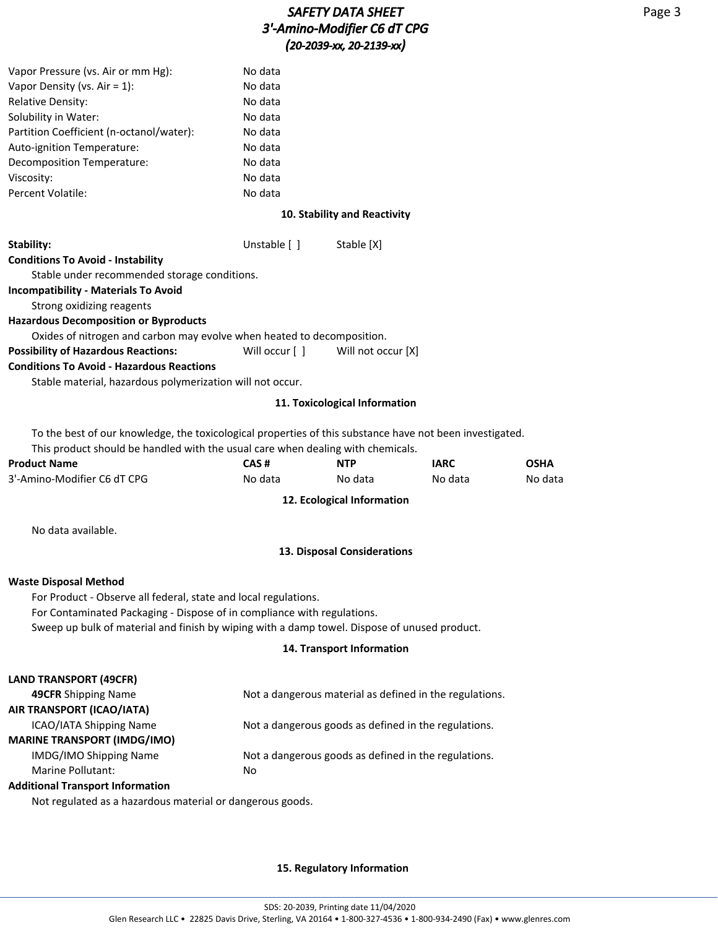| Vapor Pressure (vs. Air or mm Hg):                                                                       | No data            |                               |                                                         |             |
|----------------------------------------------------------------------------------------------------------|--------------------|-------------------------------|---------------------------------------------------------|-------------|
| Vapor Density (vs. Air = $1$ ):                                                                          | No data            |                               |                                                         |             |
| Relative Density:                                                                                        | No data            |                               |                                                         |             |
| Solubility in Water:                                                                                     | No data            |                               |                                                         |             |
| Partition Coefficient (n-octanol/water):                                                                 | No data            |                               |                                                         |             |
| Auto-ignition Temperature:                                                                               | No data            |                               |                                                         |             |
| Decomposition Temperature:                                                                               | No data            |                               |                                                         |             |
| Viscosity:<br>Percent Volatile:                                                                          | No data<br>No data |                               |                                                         |             |
|                                                                                                          |                    |                               |                                                         |             |
|                                                                                                          |                    | 10. Stability and Reactivity  |                                                         |             |
| Stability:                                                                                               | Unstable [ ]       | Stable [X]                    |                                                         |             |
| <b>Conditions To Avoid - Instability</b>                                                                 |                    |                               |                                                         |             |
| Stable under recommended storage conditions.                                                             |                    |                               |                                                         |             |
| <b>Incompatibility - Materials To Avoid</b>                                                              |                    |                               |                                                         |             |
| Strong oxidizing reagents                                                                                |                    |                               |                                                         |             |
| <b>Hazardous Decomposition or Byproducts</b>                                                             |                    |                               |                                                         |             |
| Oxides of nitrogen and carbon may evolve when heated to decomposition.                                   |                    |                               |                                                         |             |
| <b>Possibility of Hazardous Reactions:</b>                                                               | Will occur [ ]     | Will not occur [X]            |                                                         |             |
| <b>Conditions To Avoid - Hazardous Reactions</b>                                                         |                    |                               |                                                         |             |
| Stable material, hazardous polymerization will not occur.                                                |                    |                               |                                                         |             |
|                                                                                                          |                    | 11. Toxicological Information |                                                         |             |
| To the best of our knowledge, the toxicological properties of this substance have not been investigated. |                    |                               |                                                         |             |
| This product should be handled with the usual care when dealing with chemicals.                          |                    |                               |                                                         |             |
| <b>Product Name</b>                                                                                      | CAS#               | <b>NTP</b>                    | <b>IARC</b>                                             | <b>OSHA</b> |
| 3'-Amino-Modifier C6 dT CPG                                                                              | No data            | No data                       | No data                                                 | No data     |
|                                                                                                          |                    | 12. Ecological Information    |                                                         |             |
|                                                                                                          |                    |                               |                                                         |             |
| No data available.                                                                                       |                    |                               |                                                         |             |
|                                                                                                          |                    | 13. Disposal Considerations   |                                                         |             |
| <b>Waste Disposal Method</b>                                                                             |                    |                               |                                                         |             |
| For Product - Observe all federal, state and local regulations.                                          |                    |                               |                                                         |             |
| For Contaminated Packaging - Dispose of in compliance with regulations.                                  |                    |                               |                                                         |             |
| Sweep up bulk of material and finish by wiping with a damp towel. Dispose of unused product.             |                    |                               |                                                         |             |
|                                                                                                          |                    | 14. Transport Information     |                                                         |             |
|                                                                                                          |                    |                               |                                                         |             |
| <b>LAND TRANSPORT (49CFR)</b>                                                                            |                    |                               |                                                         |             |
| 49CFR Shipping Name                                                                                      |                    |                               | Not a dangerous material as defined in the regulations. |             |
| AIR TRANSPORT (ICAO/IATA)                                                                                |                    |                               |                                                         |             |
| ICAO/IATA Shipping Name<br><b>MARINE TRANSPORT (IMDG/IMO)</b>                                            |                    |                               | Not a dangerous goods as defined in the regulations.    |             |
| IMDG/IMO Shipping Name                                                                                   |                    |                               | Not a dangerous goods as defined in the regulations.    |             |
| Marine Pollutant:                                                                                        | No                 |                               |                                                         |             |
| <b>Additional Transport Information</b>                                                                  |                    |                               |                                                         |             |
| Not regulated as a hazardous material or dangerous goods.                                                |                    |                               |                                                         |             |
|                                                                                                          |                    |                               |                                                         |             |
|                                                                                                          |                    |                               |                                                         |             |

## **15. Regulatory Information**